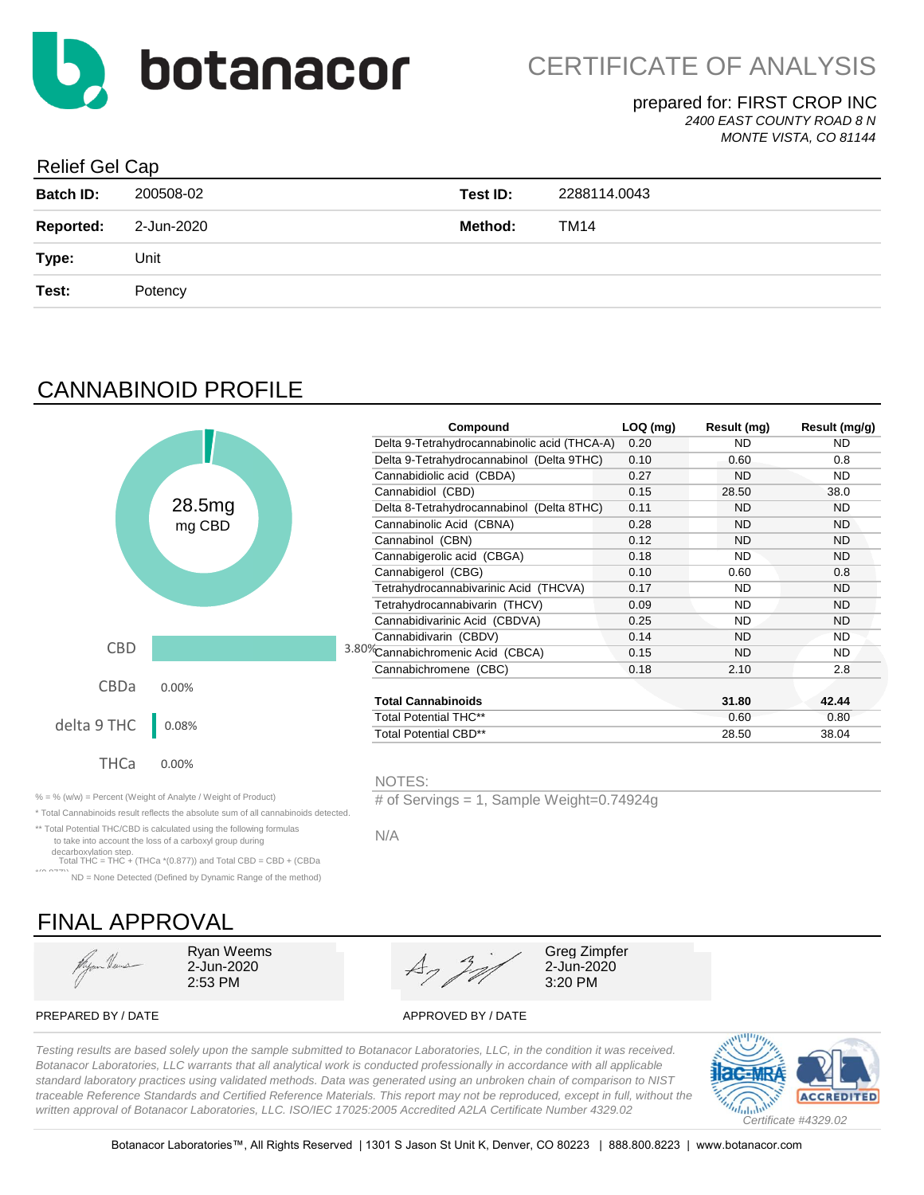

#### prepared for: FIRST CROP INC *2400 EAST COUNTY ROAD 8 N*

*MONTE VISTA, CO 81144*

### Relief Gel Cap

| <b>Batch ID:</b> | 200508-02  | Test ID:       | 2288114.0043 |
|------------------|------------|----------------|--------------|
| <b>Reported:</b> | 2-Jun-2020 | <b>Method:</b> | TM14         |
| Type:            | Unit       |                |              |
| Test:            | Potency    |                |              |

## CANNABINOID PROFILE

|             |        | Compound                                     | $LOQ$ (mg) | Result (mg) | Result (mg/g) |
|-------------|--------|----------------------------------------------|------------|-------------|---------------|
|             |        | Delta 9-Tetrahydrocannabinolic acid (THCA-A) | 0.20       | <b>ND</b>   | ND.           |
|             |        | Delta 9-Tetrahydrocannabinol (Delta 9THC)    | 0.10       | 0.60        | 0.8           |
|             |        | Cannabidiolic acid (CBDA)                    | 0.27       | <b>ND</b>   | ND.           |
|             |        | Cannabidiol (CBD)                            | 0.15       | 28.50       | 38.0          |
|             | 28.5mg | Delta 8-Tetrahydrocannabinol (Delta 8THC)    | 0.11       | <b>ND</b>   | ND.           |
|             | mg CBD | Cannabinolic Acid (CBNA)                     | 0.28       | <b>ND</b>   | <b>ND</b>     |
|             |        | Cannabinol (CBN)                             | 0.12       | ND          | <b>ND</b>     |
|             |        | Cannabigerolic acid (CBGA)                   | 0.18       | <b>ND</b>   | ND.           |
|             |        | Cannabigerol (CBG)                           | 0.10       | 0.60        | 0.8           |
|             |        | Tetrahydrocannabivarinic Acid (THCVA)        | 0.17       | <b>ND</b>   | ND.           |
|             |        | Tetrahydrocannabivarin (THCV)                | 0.09       | <b>ND</b>   | ND.           |
|             |        | Cannabidivarinic Acid (CBDVA)                | 0.25       | <b>ND</b>   | <b>ND</b>     |
|             |        | Cannabidivarin (CBDV)                        | 0.14       | <b>ND</b>   | <b>ND</b>     |
| <b>CBD</b>  |        | 3.80%Cannabichromenic Acid (CBCA)            | 0.15       | <b>ND</b>   | ND.           |
|             |        | Cannabichromene (CBC)                        | 0.18       | 2.10        | 2.8           |
| CBDa        | 0.00%  |                                              |            |             |               |
|             |        | <b>Total Cannabinoids</b>                    |            | 31.80       | 42.44         |
| delta 9 THC | 0.08%  | <b>Total Potential THC**</b>                 |            | 0.60        | 0.80          |
|             |        | Total Potential CBD**                        |            | 28.50       | 38.04         |
|             |        |                                              |            |             |               |
| <b>THCa</b> | 0.00%  |                                              |            |             |               |
|             |        | NOTES:                                       |            |             |               |

% = % (w/w) = Percent (Weight of Analyte / Weight of Product) # of Servings = 1, Sample Weight=0.74924g

\* Total Cannabinoids result reflects the absolute sum of all cannabinoids detected.

\*\* Total Potential THC/CBD is calculated using the following formulas to take into account the loss of a carboxyl group during

decarboxylation step. Total THC = THC + (THCa \*(0.877)) and Total CBD = CBD + (CBDa

\*( $0.977$ )) ND = None Detected (Defined by Dynamic Range of the method)

# FINAL APPROVAL

Hyper Heuse



PREPARED BY / DATE APPROVED BY / DATE

N/A

*Testing results are based solely upon the sample submitted to Botanacor Laboratories, LLC, in the condition it was received. Botanacor Laboratories, LLC warrants that all analytical work is conducted professionally in accordance with all applicable standard laboratory practices using validated methods. Data was generated using an unbroken chain of comparison to NIST traceable Reference Standards and Certified Reference Materials. This report may not be reproduced, except in full, without the written approval of Botanacor Laboratories, LLC. ISO/IEC 17025:2005 Accredited A2LA Certificate Number 4329.02*

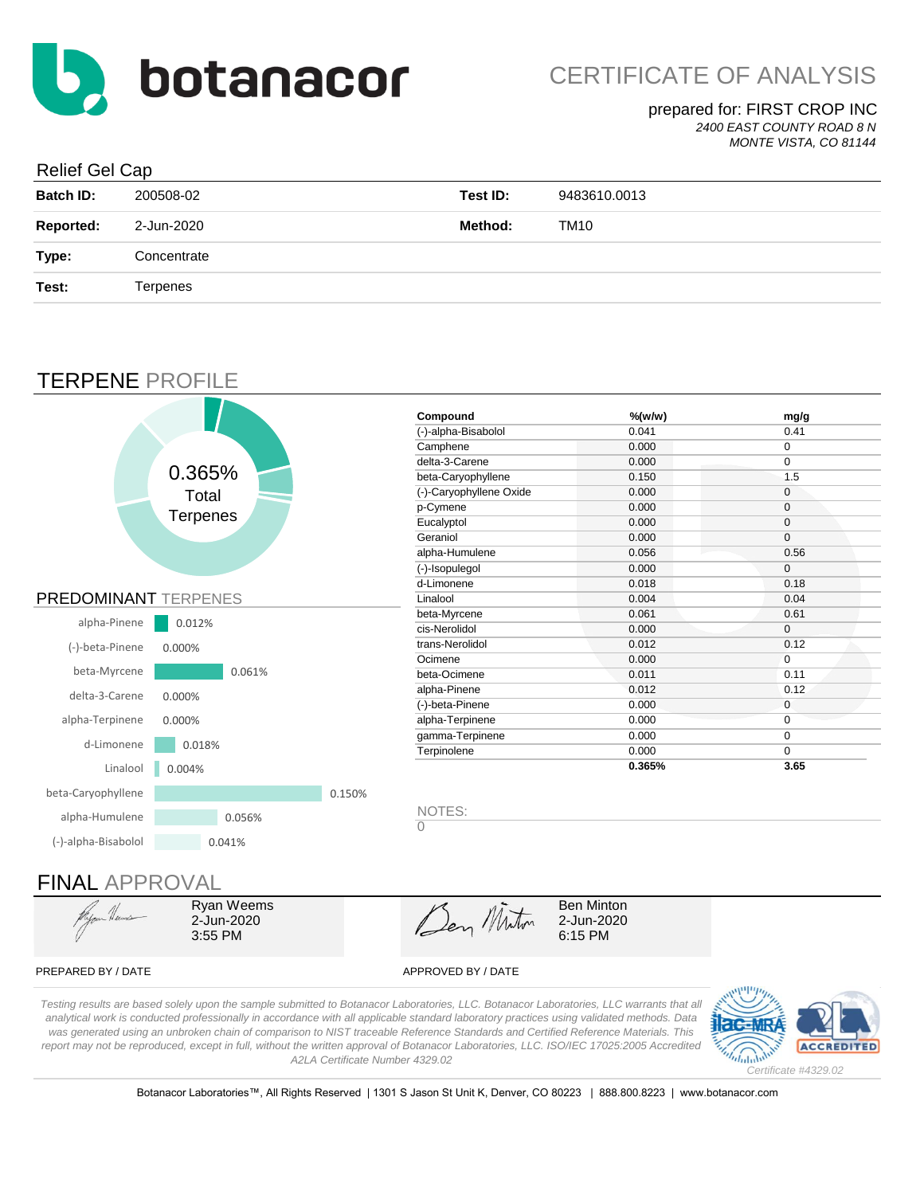

#### prepared for: FIRST CROP INC

*2400 EAST COUNTY ROAD 8 N*

*MONTE VISTA, CO 81144*

#### Relief Gel Cap

| <b>Batch ID:</b> | 200508-02       | Test ID: | 9483610.0013 |
|------------------|-----------------|----------|--------------|
| <b>Reported:</b> | 2-Jun-2020      | Method:  | TM10         |
| Type:            | Concentrate     |          |              |
| Test:            | <b>Terpenes</b> |          |              |
|                  |                 |          |              |

### TERPENE PROFILE



PREPARED BY / DATE APPROVED BY / DATE

3:55 PM

6:15 PM

*Testing results are based solely upon the sample submitted to Botanacor Laboratories, LLC. Botanacor Laboratories, LLC warrants that all analytical work is conducted professionally in accordance with all applicable standard laboratory practices using validated methods. Data was generated using an unbroken chain of comparison to NIST traceable Reference Standards and Certified Reference Materials. This report may not be reproduced, except in full, without the written approval of Botanacor Laboratories, LLC. ISO/IEC 17025:2005 Accredited A2LA Certificate Number 4329.02*



Botanacor Laboratories™, All Rights Reserved | 1301 S Jason St Unit K, Denver, CO 80223 | 888.800.8223 | www.botanacor.com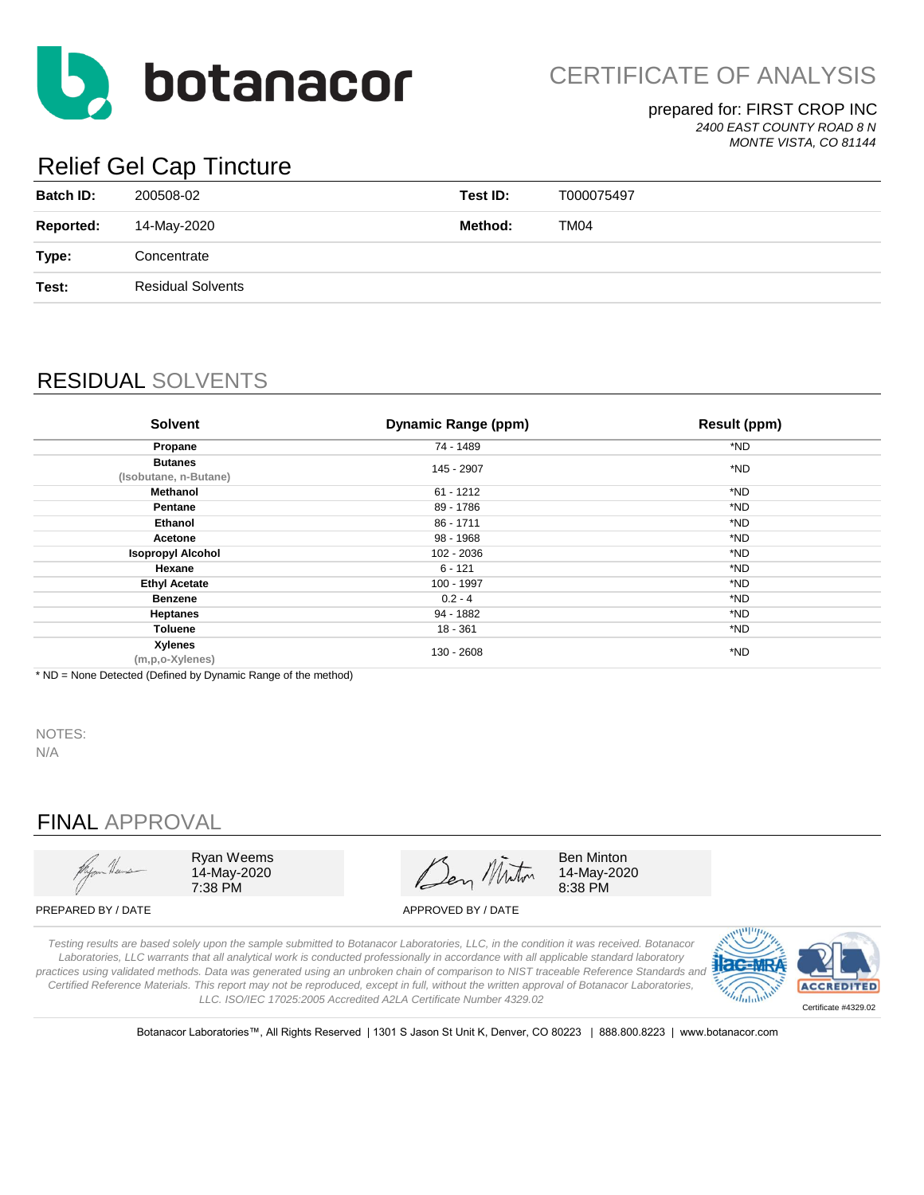

CERTIFICATE OF ANALYSIS

### prepared for: FIRST CROP INC

*2400 EAST COUNTY ROAD 8 N MONTE VISTA, CO 81144*

# Relief Gel Cap Tincture

| <b>Batch ID:</b> | 200508-02   |                          | Test ID: | T000075497 |
|------------------|-------------|--------------------------|----------|------------|
| <b>Reported:</b> | 14-May-2020 |                          | Method:  | TM04       |
| Type:            | Concentrate |                          |          |            |
| Test:            |             | <b>Residual Solvents</b> |          |            |
|                  |             |                          |          |            |

### RESIDUAL SOLVENTS

| <b>Solvent</b>                          | <b>Dynamic Range (ppm)</b> | <b>Result (ppm)</b> |
|-----------------------------------------|----------------------------|---------------------|
| Propane                                 | 74 - 1489                  | *ND                 |
| <b>Butanes</b><br>(Isobutane, n-Butane) | 145 - 2907                 | *ND                 |
| Methanol                                | $61 - 1212$                | *ND                 |
| Pentane                                 | 89 - 1786                  | *ND                 |
| <b>Ethanol</b>                          | 86 - 1711                  | *ND                 |
| Acetone                                 | 98 - 1968                  | *ND                 |
| <b>Isopropyl Alcohol</b>                | 102 - 2036                 | *ND                 |
| Hexane                                  | $6 - 121$                  | *ND                 |
| <b>Ethyl Acetate</b>                    | 100 - 1997                 | *ND                 |
| <b>Benzene</b>                          | $0.2 - 4$                  | *ND                 |
| <b>Heptanes</b>                         | 94 - 1882                  | *ND                 |
| Toluene                                 | $18 - 361$                 | *ND                 |
| Xylenes<br>(m,p,o-Xylenes)              | 130 - 2608                 | *ND                 |

\* ND = None Detected (Defined by Dynamic Range of the method)

NOTES: N/A

### FINAL APPROVAL



Ryan Weems 14-May-2020 7:38 PM

Ben Miton

Ben Minton 14-May-2020 8:38 PM

PREPARED BY / DATE APPROVED BY / DATE

*Testing results are based solely upon the sample submitted to Botanacor Laboratories, LLC, in the condition it was received. Botanacor Laboratories, LLC warrants that all analytical work is conducted professionally in accordance with all applicable standard laboratory practices using validated methods. Data was generated using an unbroken chain of comparison to NIST traceable Reference Standards and Certified Reference Materials. This report may not be reproduced, except in full, without the written approval of Botanacor Laboratories, LLC. ISO/IEC 17025:2005 Accredited A2LA Certificate Number 4329.02*



Botanacor Laboratories™, All Rights Reserved | 1301 S Jason St Unit K, Denver, CO 80223 | 888.800.8223 | www.botanacor.com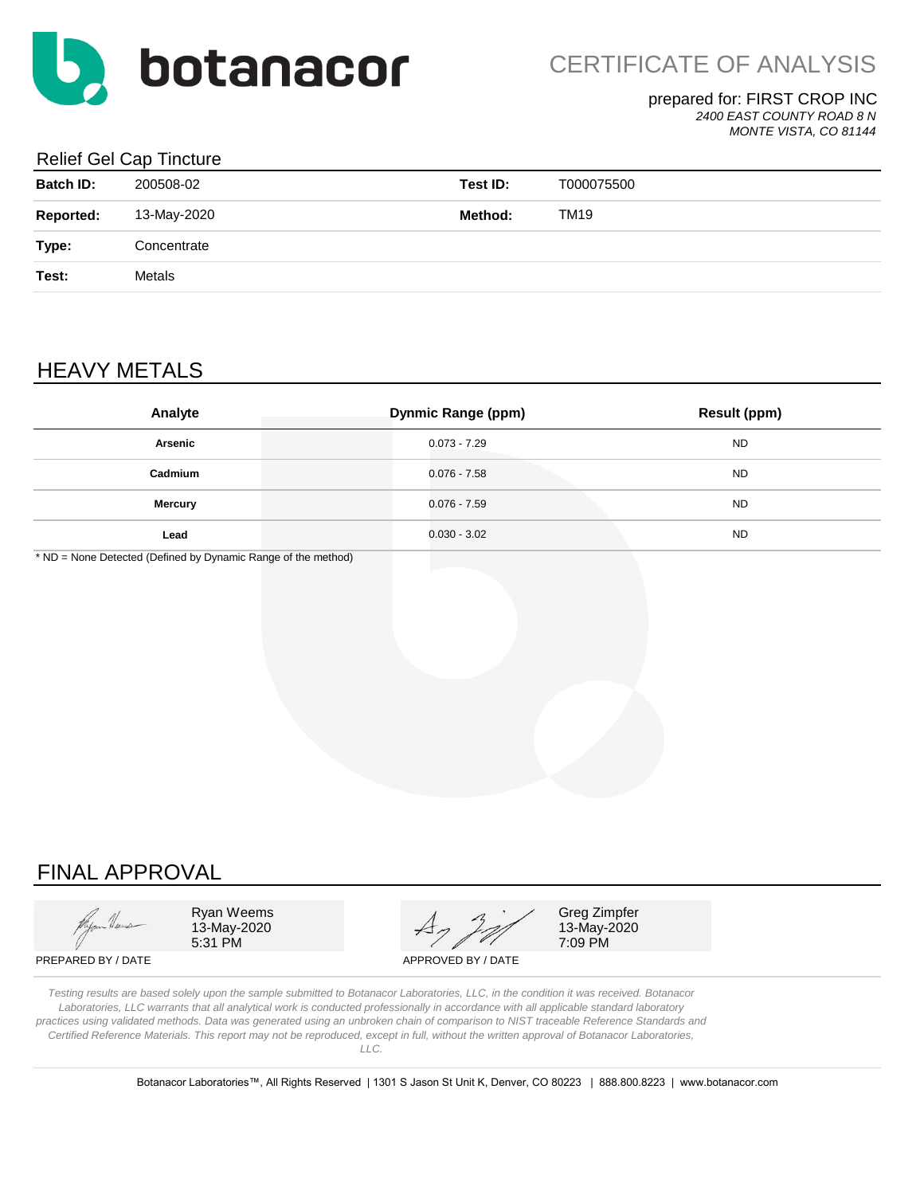

#### prepared for: FIRST CROP INC

*2400 EAST COUNTY ROAD 8 N*

*MONTE VISTA, CO 81144*

#### Relief Gel Cap Tincture

| <b>Batch ID:</b> | 200508-02   | Test ID: | T000075500  |
|------------------|-------------|----------|-------------|
| <b>Reported:</b> | 13-May-2020 | Method:  | <b>TM19</b> |
| Type:            | Concentrate |          |             |
| Test:            | Metals      |          |             |
|                  |             |          |             |

### HEAVY METALS

| Analyte        | <b>Dynmic Range (ppm)</b> | <b>Result (ppm)</b> |
|----------------|---------------------------|---------------------|
| Arsenic        | $0.073 - 7.29$            | <b>ND</b>           |
| Cadmium        | $0.076 - 7.58$            | <b>ND</b>           |
| <b>Mercury</b> | $0.076 - 7.59$            | <b>ND</b>           |
| Lead           | $0.030 - 3.02$            | <b>ND</b>           |

\* ND = None Detected (Defined by Dynamic Range of the method)

### FINAL APPROVAL

Ryan Weems  $\overline{A}$   $\overline{A}$   $\overline{C}$  Greg Zimpfer 13-May-2020  $47/7$  13-May-2020<br>5:31 PM 7:09 PM

7:09 PM

PREPARED BY / DATE APPROVED BY / DATE

*Testing results are based solely upon the sample submitted to Botanacor Laboratories, LLC, in the condition it was received. Botanacor Laboratories, LLC warrants that all analytical work is conducted professionally in accordance with all applicable standard laboratory practices using validated methods. Data was generated using an unbroken chain of comparison to NIST traceable Reference Standards and Certified Reference Materials. This report may not be reproduced, except in full, without the written approval of Botanacor Laboratories, LLC.*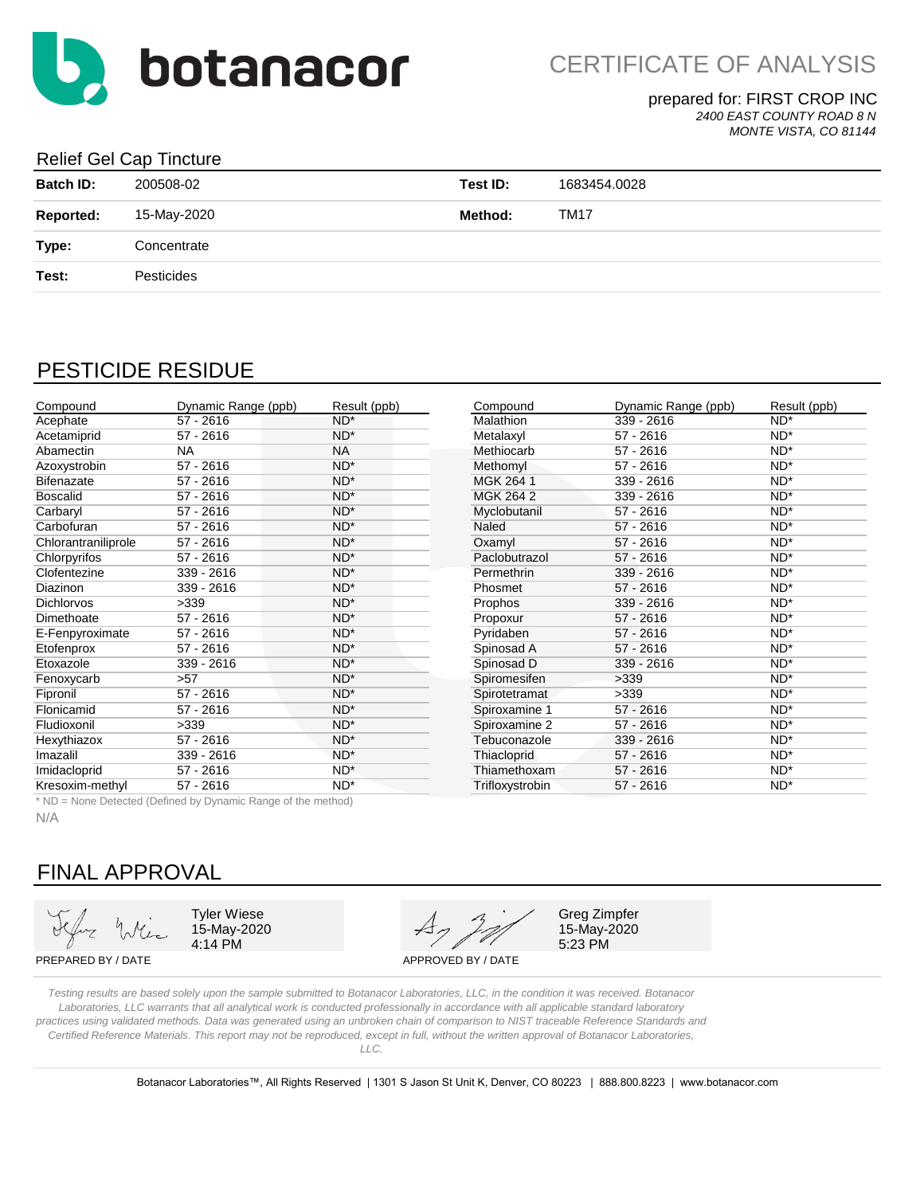

prepared for: FIRST CROP INC

*2400 EAST COUNTY ROAD 8 N*

*MONTE VISTA, CO 81144*

#### Relief Gel Cap Tincture

| <b>Batch ID:</b> | 200508-02   | Test ID: | 1683454.0028 |
|------------------|-------------|----------|--------------|
| <b>Reported:</b> | 15-May-2020 | Method:  | <b>TM17</b>  |
| Type:            | Concentrate |          |              |
| Test:            | Pesticides  |          |              |
|                  |             |          |              |

### PESTICIDE RESIDUE

| Compound            | Dynamic Range (ppb) | Result (ppb)    | Compound         | Dynamic Range (ppb) | Result (ppb) |
|---------------------|---------------------|-----------------|------------------|---------------------|--------------|
| Acephate            | $57 - 2616$         | $ND^*$          | <b>Malathion</b> | 339 - 2616          | $ND^*$       |
| Acetamiprid         | $57 - 2616$         | $ND^*$          | Metalaxyl        | $57 - 2616$         | $ND^*$       |
| Abamectin           | <b>NA</b>           | <b>NA</b>       | Methiocarb       | $57 - 2616$         | $ND^*$       |
| Azoxystrobin        | $57 - 2616$         | $ND^*$          | Methomyl         | $57 - 2616$         | $ND^*$       |
| <b>Bifenazate</b>   | $57 - 2616$         | $ND^*$          | MGK 264 1        | $339 - 2616$        | $ND^*$       |
| <b>Boscalid</b>     | $57 - 2616$         | $ND^*$          | MGK 264 2        | 339 - 2616          | $ND^*$       |
| Carbaryl            | $57 - 2616$         | $ND^*$          | Myclobutanil     | $57 - 2616$         | $ND^*$       |
| Carbofuran          | $57 - 2616$         | $ND^*$          | Naled            | $57 - 2616$         | $ND^*$       |
| Chlorantraniliprole | $57 - 2616$         | $ND^*$          | Oxamyl           | $57 - 2616$         | $ND^*$       |
| Chlorpyrifos        | $57 - 2616$         | $ND^*$          | Paclobutrazol    | $57 - 2616$         | $ND^*$       |
| Clofentezine        | 339 - 2616          | $ND^*$          | Permethrin       | $339 - 2616$        | $ND^*$       |
| <b>Diazinon</b>     | 339 - 2616          | $ND^*$          | Phosmet          | $57 - 2616$         | $ND^*$       |
| <b>Dichlorvos</b>   | >339                | $ND^*$          | Prophos          | 339 - 2616          | $ND^*$       |
| Dimethoate          | $57 - 2616$         | $ND^*$          | Propoxur         | $57 - 2616$         | $ND^*$       |
| E-Fenpyroximate     | $57 - 2616$         | $ND^*$          | Pyridaben        | $57 - 2616$         | $ND^*$       |
| Etofenprox          | $57 - 2616$         | $ND^*$          | Spinosad A       | $57 - 2616$         | $ND^*$       |
| Etoxazole           | 339 - 2616          | $ND^*$          | Spinosad D       | 339 - 2616          | $ND^*$       |
| Fenoxycarb          | >57                 | $ND^*$          | Spiromesifen     | >339                | $ND^*$       |
| Fipronil            | $57 - 2616$         | $ND^*$          | Spirotetramat    | >339                | $ND^*$       |
| Flonicamid          | $57 - 2616$         | $ND^*$          | Spiroxamine 1    | 57 - 2616           | $ND^*$       |
| Fludioxonil         | >339                | $ND^*$          | Spiroxamine 2    | $57 - 2616$         | $ND^*$       |
| Hexythiazox         | $57 - 2616$         | $ND^*$          | Tebuconazole     | 339 - 2616          | $ND^*$       |
| Imazalil            | 339 - 2616          | $ND^*$          | Thiacloprid      | $57 - 2616$         | $ND^*$       |
| Imidacloprid        | $57 - 2616$         | $ND^*$          | Thiamethoxam     | $57 - 2616$         | $ND^*$       |
| Kresoxim-methyl     | $57 - 2616$         | ND <sup>*</sup> | Trifloxystrobin  | $57 - 2616$         | $ND^*$       |

\* ND = None Detected (Defined by Dynamic Range of the method)

N/A

### FINAL APPROVAL

15-May-2020

4:14 PM 5:23 PM Tyler Wiese  $\begin{array}{cccc} \mathcal{A} & \mathcal{A} & \mathcal{A} \end{array}$  Greg Zimpfer

15-May-2020

PREPARED BY / DATE APPROVED BY / DATE

*Testing results are based solely upon the sample submitted to Botanacor Laboratories, LLC, in the condition it was received. Botanacor Laboratories, LLC warrants that all analytical work is conducted professionally in accordance with all applicable standard laboratory practices using validated methods. Data was generated using an unbroken chain of comparison to NIST traceable Reference Standards and Certified Reference Materials. This report may not be reproduced, except in full, without the written approval of Botanacor Laboratories,* 

*LLC.*